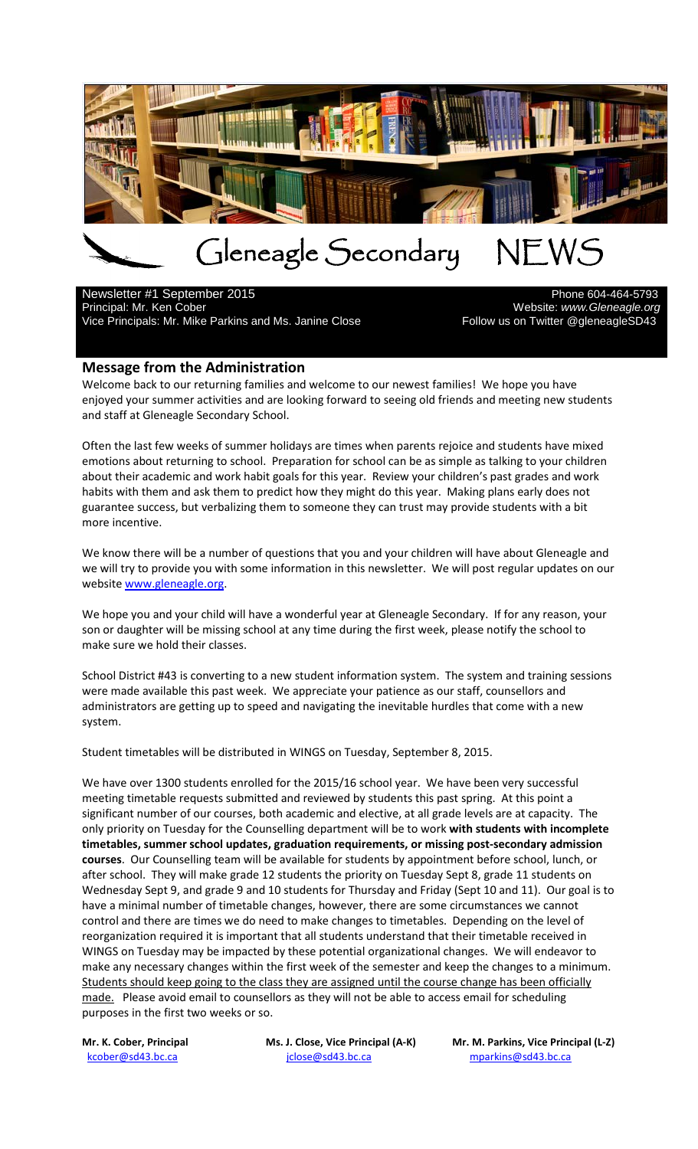

# Gleneagle Secondary NEWS<br>mber 2015

Newsletter #1 September 2015<br>Principal: Mr. Ken Cober

Vice Principals: Mr. Mike Parkins and Ms. Janine Close

Website: www.Gleneagle.org<br>Follow us on Twitter @gleneagleSD43

#### **Message from the Administration**

Welcome back to our returning families and welcome to our newest families! We hope you have enjoyed your summer activities and are looking forward to seeing old friends and meeting new students and staff at Gleneagle Secondary School.

Often the last few weeks of summer holidays are times when parents rejoice and students have mixed emotions about returning to school. Preparation for school can be as simple as talking to your children about their academic and work habit goals for this year. Review your children's past grades and work habits with them and ask them to predict how they might do this year. Making plans early does not guarantee success, but verbalizing them to someone they can trust may provide students with a bit more incentive.

We know there will be a number of questions that you and your children will have about Gleneagle and we will try to provide you with some information in this newsletter. We will post regular updates on our websit[e www.gleneagle.org.](http://www.gleneagle.org/)

We hope you and your child will have a wonderful year at Gleneagle Secondary. If for any reason, your son or daughter will be missing school at any time during the first week, please notify the school to make sure we hold their classes.

School District #43 is converting to a new student information system. The system and training sessions were made available this past week. We appreciate your patience as our staff, counsellors and administrators are getting up to speed and navigating the inevitable hurdles that come with a new system.

Student timetables will be distributed in WINGS on Tuesday, September 8, 2015.

We have over 1300 students enrolled for the 2015/16 school year. We have been very successful meeting timetable requests submitted and reviewed by students this past spring. At this point a significant number of our courses, both academic and elective, at all grade levels are at capacity. The only priority on Tuesday for the Counselling department will be to work **with students with incomplete timetables, summer school updates, graduation requirements, or missing post-secondary admission courses**. Our Counselling team will be available for students by appointment before school, lunch, or after school. They will make grade 12 students the priority on Tuesday Sept 8, grade 11 students on Wednesday Sept 9, and grade 9 and 10 students for Thursday and Friday (Sept 10 and 11). Our goal is to have a minimal number of timetable changes, however, there are some circumstances we cannot control and there are times we do need to make changes to timetables. Depending on the level of reorganization required it is important that all students understand that their timetable received in WINGS on Tuesday may be impacted by these potential organizational changes. We will endeavor to make any necessary changes within the first week of the semester and keep the changes to a minimum. Students should keep going to the class they are assigned until the course change has been officially made. Please avoid email to counsellors as they will not be able to access email for scheduling purposes in the first two weeks or so.

kcober@sd43.bc.ca in italians is interestinguished by the entry of the mparkins@sd43.bc.ca

Mr. K. Cober, Principal **Mr. J. Close, Vice Principal (A-K)** Mr. M. Parkins, Vice Principal (L-Z)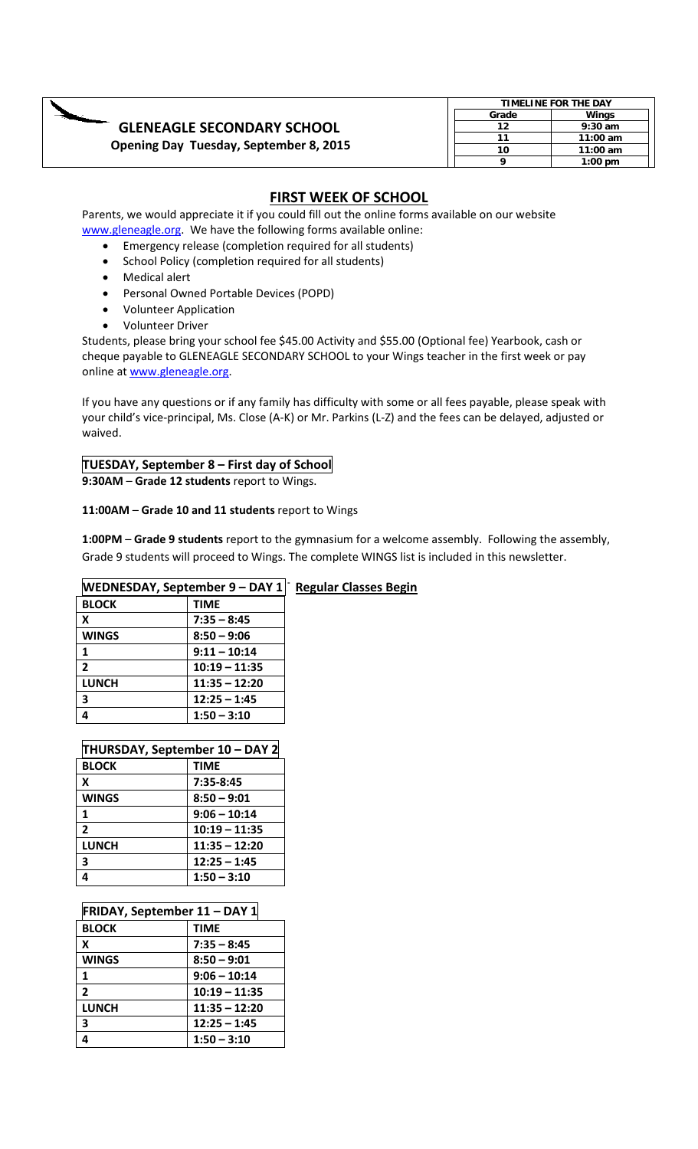|                                        |       | TIMELINE FOR THE DAY |  |  |
|----------------------------------------|-------|----------------------|--|--|
|                                        | Grade | Winas                |  |  |
| <b>GLENEAGLE SECONDARY SCHOOL</b>      | 12    | $9:30$ am            |  |  |
|                                        | 11    | $11:00$ am           |  |  |
| Opening Day Tuesday, September 8, 2015 | 10    | $11:00$ am           |  |  |
|                                        |       | $1:00 \text{ pm}$    |  |  |

#### **FIRST WEEK OF SCHOOL**

Parents, we would appreciate it if you could fill out the online forms available on our website [www.gleneagle.org.](http://www.gleneagle.org/) We have the following forms available online:

- Emergency release (completion required for all students)
- School Policy (completion required for all students)
- Medical alert
- Personal Owned Portable Devices (POPD)
- Volunteer Application
- Volunteer Driver

Students, please bring your school fee \$45.00 Activity and \$55.00 (Optional fee) Yearbook, cash or cheque payable to GLENEAGLE SECONDARY SCHOOL to your Wings teacher in the first week or pay online at [www.gleneagle.org.](http://www.gleneagle.org/)

If you have any questions or if any family has difficulty with some or all fees payable, please speak with your child's vice-principal, Ms. Close (A-K) or Mr. Parkins (L-Z) and the fees can be delayed, adjusted or waived.

### **TUESDAY, September 8 – First day of School**

**9:30AM** – **Grade 12 students** report to Wings.

#### **11:00AM** – **Grade 10 and 11 students** report to Wings

**1:00PM** – **Grade 9 students** report to the gymnasium for a welcome assembly. Following the assembly, Grade 9 students will proceed to Wings. The complete WINGS list is included in this newsletter.

| <b>WEDNESDAY, September 9 – DAY 1</b> | <b>Regular Classes Begin</b> |  |
|---------------------------------------|------------------------------|--|
| <b>BLOCK</b>                          | <b>TIME</b>                  |  |
| X                                     | $7:35 - 8:45$                |  |
| <b>WINGS</b>                          | $8:50 - 9:06$                |  |
|                                       | $9:11 - 10:14$               |  |
| $\overline{2}$                        | $10:19 - 11:35$              |  |
| <b>LUNCH</b><br>$11:35 - 12:20$       |                              |  |
| 3                                     |                              |  |
| 4                                     | $1:50 - 3:10$                |  |

#### **THURSDAY, September 10 – DAY 2**

| <b>BLOCK</b>   | <b>TIME</b>     |
|----------------|-----------------|
| x              | $7:35-8:45$     |
| <b>WINGS</b>   | $8:50 - 9:01$   |
| 1              | $9:06 - 10:14$  |
| $\overline{2}$ | $10:19 - 11:35$ |
| <b>LUNCH</b>   | $11:35 - 12:20$ |
| 3              | $12:25 - 1:45$  |
|                | $1:50 - 3:10$   |

|  |  | <b>FRIDAY, September 11 - DAY 1</b> |
|--|--|-------------------------------------|
|--|--|-------------------------------------|

| <b>BLOCK</b>   | <b>TIME</b>     |
|----------------|-----------------|
| x              | $7:35 - 8:45$   |
| <b>WINGS</b>   | $8:50 - 9:01$   |
| 1              | $9:06 - 10:14$  |
| $\overline{2}$ | $10:19 - 11:35$ |
| <b>LUNCH</b>   | $11:35 - 12:20$ |
| 3              | $12:25 - 1:45$  |
|                | $1:50 - 3:10$   |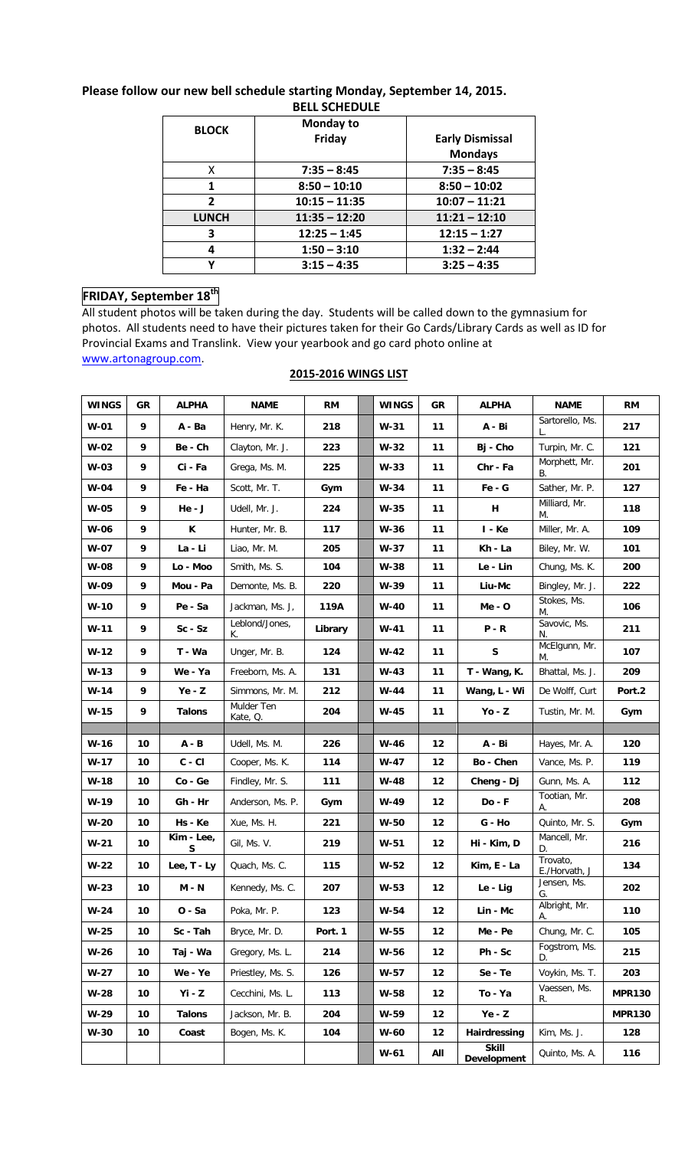| <b>BLOCK</b> | Monday to       |                        |
|--------------|-----------------|------------------------|
|              | Friday          | <b>Early Dismissal</b> |
|              |                 | <b>Mondays</b>         |
| x.           | $7:35 - 8:45$   | $7:35 - 8:45$          |
| 1            | $8:50 - 10:10$  | $8:50 - 10:02$         |
| $\mathbf{2}$ | $10:15 - 11:35$ | $10:07 - 11:21$        |
| <b>LUNCH</b> | $11:35 - 12:20$ | $11:21 - 12:10$        |
| 3            | $12:25 - 1:45$  | $12:15 - 1:27$         |
| 4            | $1:50 - 3:10$   | $1:32 - 2:44$          |
| v            | $3:15 - 4:35$   | $3:25 - 4:35$          |

#### **Please follow our new bell schedule starting Monday, September 14, 2015. BELL SCHEDULE**

#### **FRIDAY, September 18th**

All student photos will be taken during the day. Students will be called down to the gymnasium for photos. All students need to have their pictures taken for their Go Cards/Library Cards as well as ID for Provincial Exams and Translink. View your yearbook and go card photo online at [www.artonagroup.com.](http://www.artonagroup.com/)

| <b>WINGS</b> | GR | <b>ALPHA</b>    | <b>NAME</b>            | RM      | <b>WINGS</b> | GR   | <b>ALPHA</b>                 | <b>NAME</b>               | <b>RM</b>     |
|--------------|----|-----------------|------------------------|---------|--------------|------|------------------------------|---------------------------|---------------|
| $W-01$       | 9  | A - Ba          | Henry, Mr. K.          | 218     | $W-31$       | 11   | A - Bi                       | Sartorello, Ms.           | 217           |
| $W-02$       | 9  | Be - Ch         | Clayton, Mr. J.        | 223     | $W-32$       | 11   | Bj - Cho                     | Turpin, Mr. C.            | 121           |
| $W-03$       | 9  | Ci-Fa           | Grega, Ms. M.          | 225     | $W-33$       | 11   | Chr - Fa                     | Morphett, Mr.<br>В.       | 201           |
| <b>W-04</b>  | 9  | Fe - Ha         | Scott, Mr. T.          | Gym     | $W-34$       | 11   | $Fe - G$                     | Sather, Mr. P.            | 127           |
| <b>W-05</b>  | 9  | $He - J$        | Udell, Mr. J.          | 224     | $W-35$       | 11   | н                            | Milliard, Mr.<br>М.       | 118           |
| W-06         | 9  | K               | Hunter, Mr. B.         | 117     | W-36         | 11   | $I - Ke$                     | Miller, Mr. A.            | 109           |
| W-07         | 9  | La - Li         | Liao, Mr. M.           | 205     | $W-37$       | 11   | Kh - La                      | Biley, Mr. W.             | 101           |
| W-08         | 9  | Lo - Moo        | Smith, Ms. S.          | 104     | W-38         | 11   | Le - Lin                     | Chung, Ms. K.             | 200           |
| W-09         | 9  | Mou - Pa        | Demonte, Ms. B.        | 220     | W-39         | 11   | Liu-Mc                       | Bingley, Mr. J.           | 222           |
| W-10         | 9  | Pe - Sa         | Jackman, Ms. J,        | 119A    | $W-40$       | 11   | $Me - O$                     | Stokes, Ms.<br>М.         | 106           |
| $W-11$       | 9  | $Sc-Sz$         | Leblond/Jones,<br>Κ.   | Library | $W-41$       | 11   | $P - R$                      | Savovic, Ms.<br>N.        | 211           |
| $W-12$       | 9  | T - Wa          | Unger, Mr. B.          | 124     | $W-42$       | 11   | S                            | McElgunn, Mr.<br>М.       | 107           |
| $W-13$       | 9  | We - Ya         | Freeborn, Ms. A.       | 131     | $W-43$       | 11   | T - Wang, K.                 | Bhattal, Ms. J.           | 209           |
| W-14         | 9  | $Ye - Z$        | Simmons, Mr. M.        | 212     | W-44         | 11   | Wang, L - Wi                 | De Wolff, Curt            | Port.2        |
| $W-15$       | 9  | <b>Talons</b>   | Mulder Ten<br>Kate, Q. | 204     | W-45         | 11   | $Yo - Z$                     | Tustin, Mr. M.            | Gym           |
|              |    |                 |                        |         |              |      |                              |                           |               |
|              |    |                 |                        |         |              |      |                              |                           |               |
| W-16         | 10 | $A - B$         | Udell, Ms. M.          | 226     | $W-46$       | 12   | A - Bi                       | Hayes, Mr. A.             | 120           |
| $W-17$       | 10 | $C - CI$        | Cooper, Ms. K.         | 114     | $W-47$       | 12   | Bo - Chen                    | Vance, Ms. P.             | 119           |
| W-18         | 10 | Co - Ge         | Findley, Mr. S.        | 111     | $W-48$       | $12$ | Cheng - Dj                   | Gunn, Ms. A.              | 112           |
| W-19         | 10 | Gh - Hr         | Anderson, Ms. P.       | Gym     | W-49         | 12   | Do - F                       | Tootian, Mr.<br>А.        | 208           |
| W-20         | 10 | Hs - Ke         | Xue, Ms. H.            | 221     | W-50         | 12   | $G - Ho$                     | Quinto, Mr. S.            | Gym           |
| $W-21$       | 10 | Kim - Lee,<br>S | Gil, Ms. V.            | 219     | $W-51$       | 12   | Hi - Kim, D                  | Mancell, Mr.<br>D.        | 216           |
| $W-22$       | 10 | Lee, T - Ly     | Quach, Ms. C.          | 115     | $W-52$       | 12   | Kim, E - La                  | Trovato,<br>E./Horvath, J | 134           |
| $W-23$       | 10 | $M - N$         | Kennedy, Ms. C.        | 207     | W-53         | 12   | Le - Lig                     | Jensen, Ms.<br>G.         | 202           |
| W-24         | 10 | 0 - Sa          | Poka, Mr. P.           | 123     | W-54         | 12   | Lin - Mc                     | Albright, Mr.<br>А.       | 110           |
| W-25         | 10 | Sc - Tah        | Bryce, Mr. D.          | Port. 1 | $W-55$       | $12$ | Me - Pe                      | Chung, Mr. C.             | 105           |
| $W-26$       | 10 | Taj - Wa        | Gregory, Ms. L.        | 214     | W-56         | 12   | Ph - Sc                      | Fogstrom, Ms.<br>D.       | 215           |
| $W-27$       | 10 | We - Ye         | Priestley, Ms. S.      | 126     | W-57         | $12$ | Se - Te                      | Voykin, Ms. T.            | 203           |
| $W-28$       | 10 | $Yi - Z$        | Cecchini, Ms. L.       | 113     | W-58         | 12   | To - Ya                      | Vaessen, Ms.<br>R.        | <b>MPR130</b> |
| W-29         | 10 | <b>Talons</b>   | Jackson, Mr. B.        | 204     | W-59         | 12   | $Ye - Z$                     |                           | <b>MPR130</b> |
| W-30         | 10 | Coast           | Bogen, Ms. K.          | 104     | W-60         | 12   | Hairdressing<br><b>Skill</b> | Kim, Ms. J.               | 128           |

#### **2015-2016 WINGS LIST**